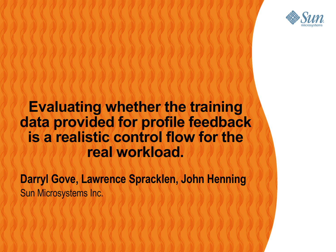

#### **Evaluating whether the training data provided for profile feedback is a realistic control flow for the real workload.**

,,,,,,,,,,,,,,,,,,,,,,,

,,,,,,,,,,,,,,,,,,,,,,,,,

000000000000000000

**Darryl Gove, Lawrence Spracklen, John Henning** Sun Microsystems Inc.

00000000000000000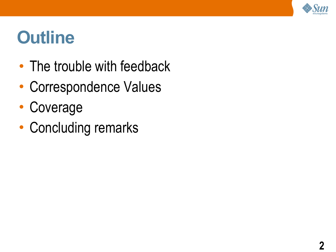

#### **Outline**

- The trouble with feedback
- Correspondence Values
- Coverage
- Concluding remarks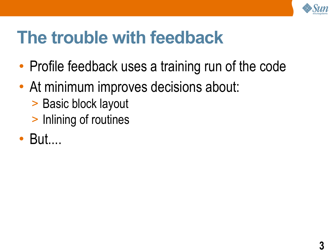

### **The trouble with feedback**

- Profile feedback uses a training run of the code
- At minimum improves decisions about:
	- > Basic block layout
	- > Inlining of routines
- But....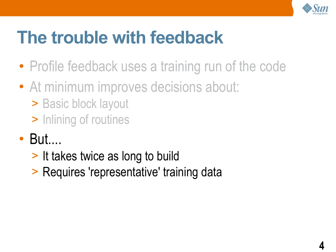

# **The trouble with feedback**

- Profile feedback uses a training run of the code
- At minimum improves decisions about:
	- > Basic block layout
	- > Inlining of routines
- But....
	- > It takes twice as long to build
	- > Requires 'representative' training data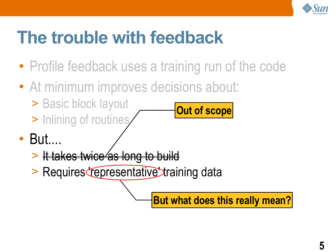

# **The trouble with feedback**

- Profile feedback uses a training run of the code
- At minimum improves decisions about:
	- > Basic block layout
	- > Inlining of routines
- But....
	- > It takes twice as long to build
	- > Requires representative training data

**But what does this really mean?**

**Out of scope**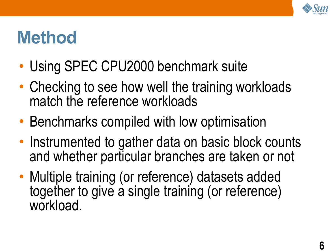

#### **Method**

- Using SPEC CPU2000 benchmark suite
- Checking to see how well the training workloads match the reference workloads
- Benchmarks compiled with low optimisation
- Instrumented to gather data on basic block counts and whether particular branches are taken or not
- Multiple training (or reference) datasets added together to give a single training (or reference) workload.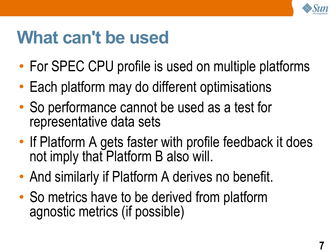

### **What can't be used**

- For SPEC CPU profile is used on multiple platforms
- Each platform may do different optimisations
- So performance cannot be used as a test for representative data sets
- If Platform A gets faster with profile feedback it does not imply that Platform B also will.
- And similarly if Platform A derives no benefit.
- So metrics have to be derived from platform agnostic metrics (if possible)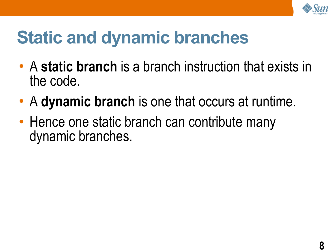

# **Static and dynamic branches**

- A **static branch** is a branch instruction that exists in the code.
- A **dynamic branch** is one that occurs at runtime.
- Hence one static branch can contribute many dynamic branches.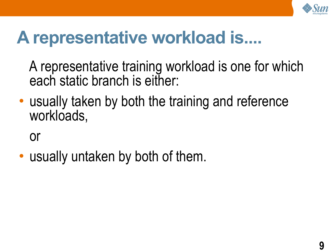

#### **A representative workload is....**

A representative training workload is one for which each static branch is either:

• usually taken by both the training and reference workloads,

or

• usually untaken by both of them.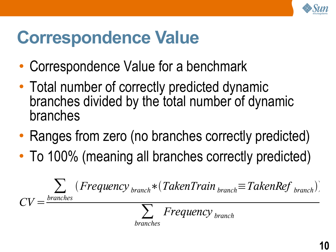

### **Correspondence Value**

- Correspondence Value for a benchmark
- Total number of correctly predicted dynamic branches divided by the total number of dynamic branches
- Ranges from zero (no branches correctly predicted)
- To 100% (meaning all branches correctly predicted)

$$
CV = \frac{\sum_{branches} (Frequency_{branch} * (TakenTrain_{branch}) - TakenRef_{branch})}{\sum_{branches} Frequency_{branch}}
$$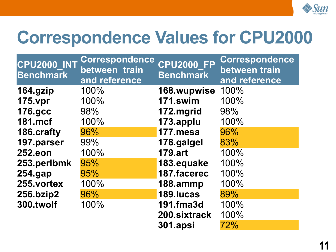

#### **Correspondence Values for CPU2000**

| <b>CPU2000_INT</b><br><b>Benchmark</b> | Correspondence<br>between train<br>and reference | <b>CPU2000 FP</b><br><b>Benchmark</b> | Correspondence<br>between train<br>and reference |
|----------------------------------------|--------------------------------------------------|---------------------------------------|--------------------------------------------------|
| 164.gzip                               | 100%                                             | 168.wupwise                           | 100%                                             |
| <b>175.vpr</b>                         | 100%                                             | 171.swim                              | 100%                                             |
| <b>176.gcc</b>                         | 98%                                              | 172.mgrid                             | 98%                                              |
| <b>181.mcf</b>                         | 100%                                             | 173.applu                             | 100%                                             |
| 186.crafty                             | 96%                                              | 177.mesa                              | 96%                                              |
| 197.parser                             | 99%                                              | 178.galgel                            | 83%                                              |
| <b>252.eon</b>                         | 100%                                             | <b>179.art</b>                        | 100%                                             |
| 253.perlbmk                            | 95%                                              | 183.equake                            | 100%                                             |
| $254$ .gap                             | 95%                                              | 187.facerec                           | 100%                                             |
| 255.vortex                             | 100%                                             | 188.ammp                              | 100%                                             |
| 256.bzip2                              | 96%                                              | 189. lucas                            | 89%                                              |
| 300.twolf                              | 100%                                             | 191.fma3d                             | 100%                                             |
|                                        |                                                  | 200.sixtrack                          | 100%                                             |
|                                        |                                                  | <b>301.apsi</b>                       | 72%                                              |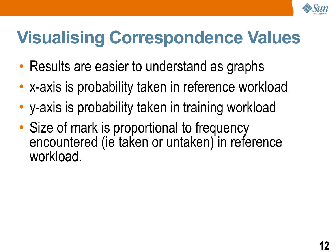

# **Visualising Correspondence Values**

- Results are easier to understand as graphs
- x-axis is probability taken in reference workload
- y-axis is probability taken in training workload
- Size of mark is proportional to frequency encountered (ie taken or untaken) in reference workload.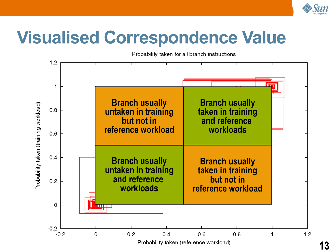

# **Visualised Correspondence Value**

Probability taken for all branch instructions



**13**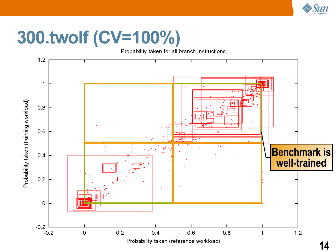

# **300.twolf (CV=100%)**

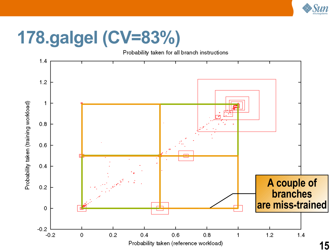

## **178.galgel (CV=83%)**

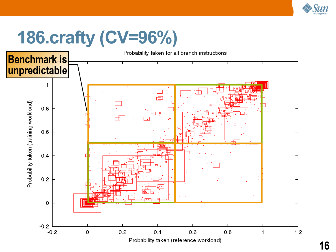

# **186.crafty (CV=96%)**

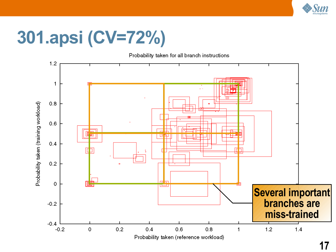

# **301.apsi (CV=72%)**

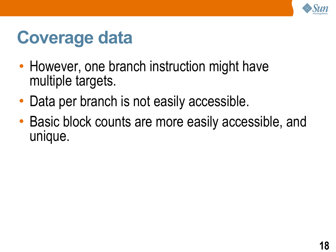

#### **Coverage data**

- However, one branch instruction might have multiple targets.
- Data per branch is not easily accessible.
- Basic block counts are more easily accessible, and unique.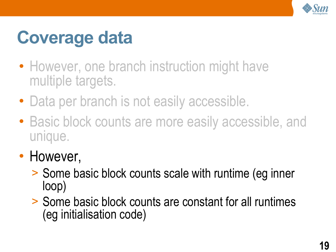

# **Coverage data**

- However, one branch instruction might have multiple targets.
- Data per branch is not easily accessible.
- Basic block counts are more easily accessible, and unique.
- However,
	- > Some basic block counts scale with runtime (eg inner loop)
	- > Some basic block counts are constant for all runtimes (eg initialisation code)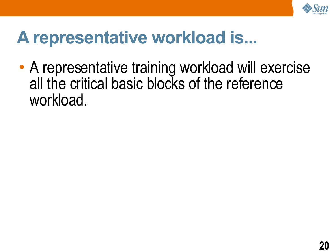

#### **A representative workload is...**

• A representative training workload will exercise all the critical basic blocks of the reference workload.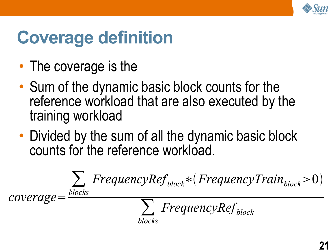

# **Coverage definition**

- The coverage is the
- Sum of the dynamic basic block counts for the reference workload that are also executed by the training workload
- Divided by the sum of all the dynamic basic block counts for the reference workload.

$$
coverage = \frac{\sum_{blocks}FrequencyRef_{block} * (FrequencyTrain_{block} > 0)}{\sum_{blocks}FrequencyRef_{block}}
$$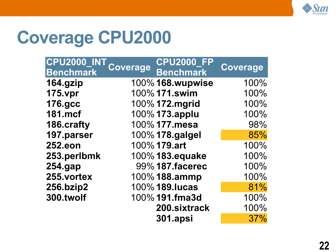

#### **Coverage CPU2000**

| <b>CPU2000</b>   | <b>Coverage</b> | <b>CPU2000</b>         | Coverage |
|------------------|-----------------|------------------------|----------|
| <b>Benchmark</b> |                 | <b>Benchmark</b>       |          |
| 164.gzip         |                 | 100% 168.wupwise       | 100%     |
| <b>175.vpr</b>   |                 | 100% 171.swim          | 100%     |
| <b>176.gcc</b>   |                 | 100% 172.mgrid         | 100%     |
| <b>181.mcf</b>   |                 | 100% 173.applu         | 100%     |
| 186.crafty       |                 | 100% 177.mesa          | 98%      |
| 197.parser       |                 | 100% 178.galgel        | 85%      |
| <b>252.eon</b>   |                 | 100% 179.art           | 100%     |
| 253.perlbmk      |                 | 100% 183.equake        | 100%     |
| 254.gap          |                 | 99% <b>187.facerec</b> | 100%     |
| 255.vortex       |                 | 100% 188.ammp          | 100%     |
| 256.bzip2        |                 | 100% 189. lucas        | 81%      |
| 300.twolf        |                 | 100% 191.fma3d         | 100%     |
|                  |                 | 200.sixtrack           | 100%     |
|                  |                 | <b>301.apsi</b>        | 37%      |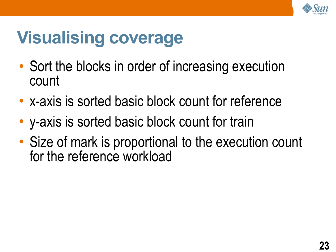

# **Visualising coverage**

- Sort the blocks in order of increasing execution count
- x-axis is sorted basic block count for reference
- y-axis is sorted basic block count for train
- Size of mark is proportional to the execution count for the reference workload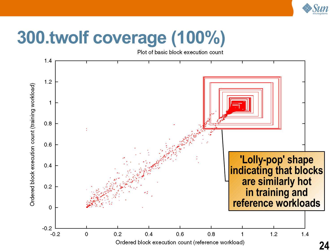

# **300.twolf coverage (100%)**

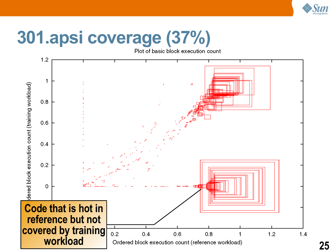

# **301.apsi coverage (37%)**



**25**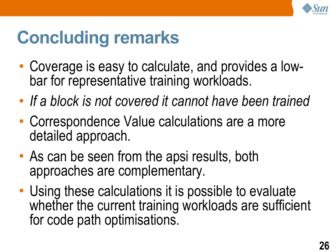

# **Concluding remarks**

- Coverage is easy to calculate, and provides a lowbar for representative training workloads.
- *If a block is not covered it cannot have been trained*
- Correspondence Value calculations are a more detailed approach.
- As can be seen from the apsi results, both approaches are complementary.
- Using these calculations it is possible to evaluate whether the current training workloads are sufficient for code path optimisations.